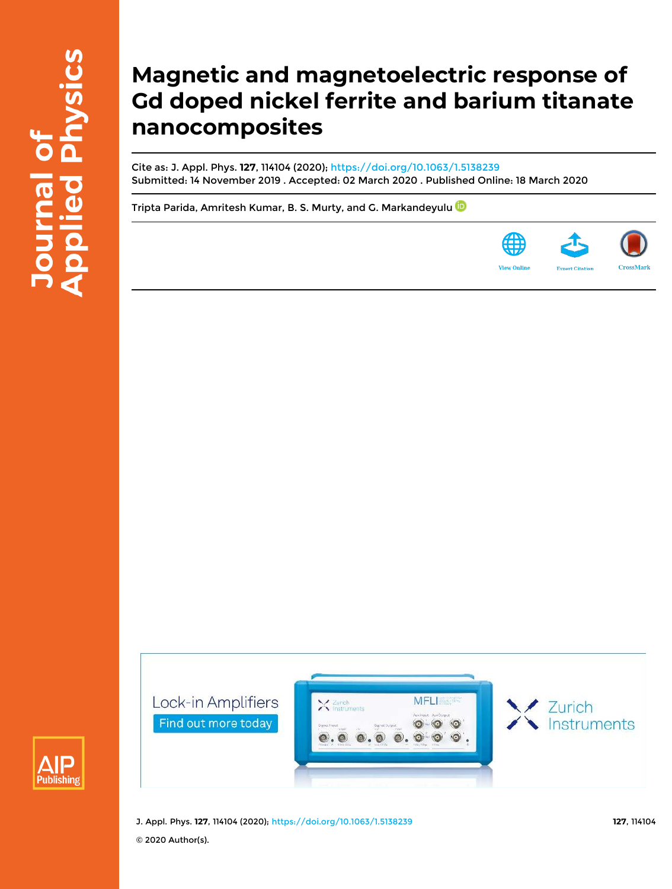# **Magnetic and magnetoelectric response of Gd doped nickel ferrite and barium titanate nanocomposites**

**MFLI** 

 $\odot$  $\bullet$  $\circ$ 

Cite as: J. Appl. Phys. **127**, 114104 (2020); https://doi.org/10.1063/1.5138239 Submitted: 14 November 2019 . Accepted: 02 March 2020 . Published Online: 18 March 2020

Tripta Parida, Amritesh Kumar, B. S. Murty, and G. Markandeyulu







Zurich

Lock-in Amplifiers

Find out more today

Zurich

**Instruments**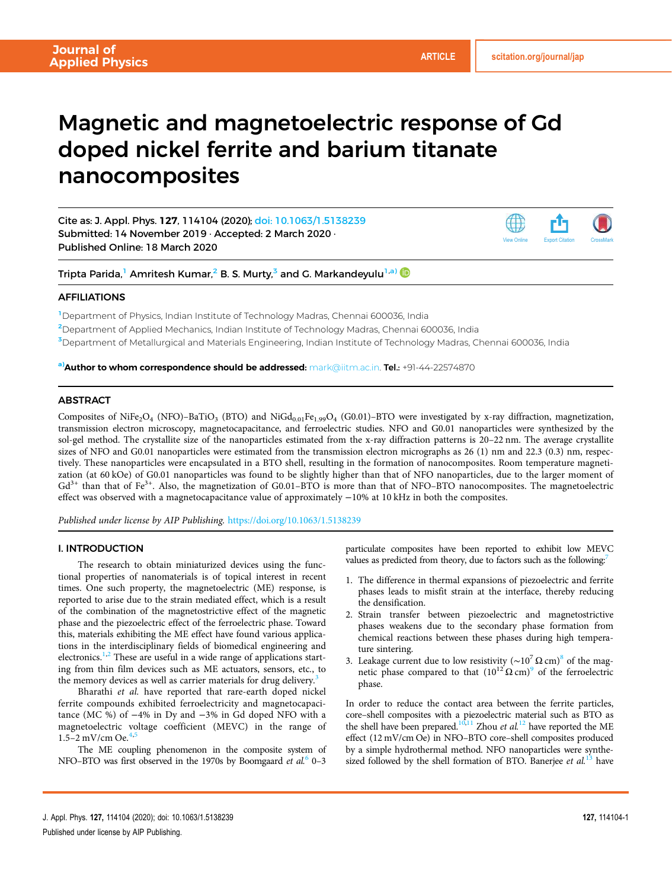View Online Export Citation CrossMark

# Magnetic and magnetoelectric response of Gd doped nickel ferrite and barium titanate nanocomposites

Cite as: J. Appl. Phys. 127, 114104 (2020); doi: 10.1063/1.5138239 Submitted: 14 November 2019 · Accepted: 2 March 2020 · Published Online: 18 March 2020

Tripta Parida,<sup>1</sup> Amritesh Kumar,<sup>2</sup> B. S. Murty,<sup>3</sup> and G. Markandeyulu<sup>1,a)</sup>

## AFFILIATIONS

<sup>1</sup>Department of Physics, Indian Institute of Technology Madras, Chennai 600036, India

<sup>2</sup>Department of Applied Mechanics, Indian Institute of Technology Madras, Chennai 600036, India

<sup>3</sup>Department of Metallurgical and Materials Engineering, Indian Institute of Technology Madras, Chennai 600036, India

a)**Author to whom correspondence should be addressed:** mark@iitm.ac.in. **Tel.:** +91-44-22574870

### **ABSTRACT**

Composites of NiFe<sub>2</sub>O<sub>4</sub> (NFO)–BaTiO<sub>3</sub> (BTO) and NiGd<sub>0.01</sub>Fe<sub>1.99</sub>O<sub>4</sub> (G0.01)–BTO were investigated by x-ray diffraction, magnetization, transmission electron microscopy, magnetocapacitance, and ferroelectric studies. NFO and G0.01 nanoparticles were synthesized by the sol-gel method. The crystallite size of the nanoparticles estimated from the x-ray diffraction patterns is 20–22 nm. The average crystallite sizes of NFO and G0.01 nanoparticles were estimated from the transmission electron micrographs as 26 (1) nm and 22.3 (0.3) nm, respectively. These nanoparticles were encapsulated in a BTO shell, resulting in the formation of nanocomposites. Room temperature magnetization (at 60 kOe) of G0.01 nanoparticles was found to be slightly higher than that of NFO nanoparticles, due to the larger moment of  $Gd^{3+}$  than that of Fe<sup>3+</sup>. Also, the magnetization of G0.01–BTO is more than that of NFO–BTO nanocomposites. The magnetoelectric effect was observed with a magnetocapacitance value of approximately −10% at 10 kHz in both the composites.

Published under license by AIP Publishing. https://doi.org/10.1063/1.5138239

#### I. INTRODUCTION

The research to obtain miniaturized devices using the functional properties of nanomaterials is of topical interest in recent times. One such property, the magnetoelectric (ME) response, is reported to arise due to the strain mediated effect, which is a result of the combination of the magnetostrictive effect of the magnetic phase and the piezoelectric effect of the ferroelectric phase. Toward this, materials exhibiting the ME effect have found various applications in the interdisciplinary fields of biomedical engineering and electronics.<sup>1,2</sup> These are useful in a wide range of applications starting from thin film devices such as ME actuators, sensors, etc., to the memory devices as well as carrier materials for drug delivery.<sup>3</sup>

Bharathi et al. have reported that rare-earth doped nickel ferrite compounds exhibited ferroelectricity and magnetocapacitance (MC %) of −4% in Dy and −3% in Gd doped NFO with a magnetoelectric voltage coefficient (MEVC) in the range of 1.5–2 mV/cm Oe.<sup>4,5</sup>

The ME coupling phenomenon in the composite system of NFO–BTO was first observed in the 1970s by Boomgaard et al.<sup>6</sup> 0-3

particulate composites have been reported to exhibit low MEVC values as predicted from theory, due to factors such as the following:<sup>7</sup>

- 1. The difference in thermal expansions of piezoelectric and ferrite phases leads to misfit strain at the interface, thereby reducing the densification.
- 2. Strain transfer between piezoelectric and magnetostrictive phases weakens due to the secondary phase formation from chemical reactions between these phases during high temperature sintering.
- 3. Leakage current due to low resistivity (~10<sup>7</sup> Ω cm)<sup>8</sup> of the magnetic phase compared to that  $(10^{12} \Omega \text{ cm})^9$  of the ferroelectric phase.

In order to reduce the contact area between the ferrite particles, core–shell composites with a piezoelectric material such as BTO as the shell have been prepared.<sup>10,11</sup> Zhou et al.<sup>12</sup> have reported the ME effect (12 mV/cm Oe) in NFO–BTO core–shell composites produced by a simple hydrothermal method. NFO nanoparticles were synthesized followed by the shell formation of BTO. Banerjee et  $al$ <sup>13</sup> have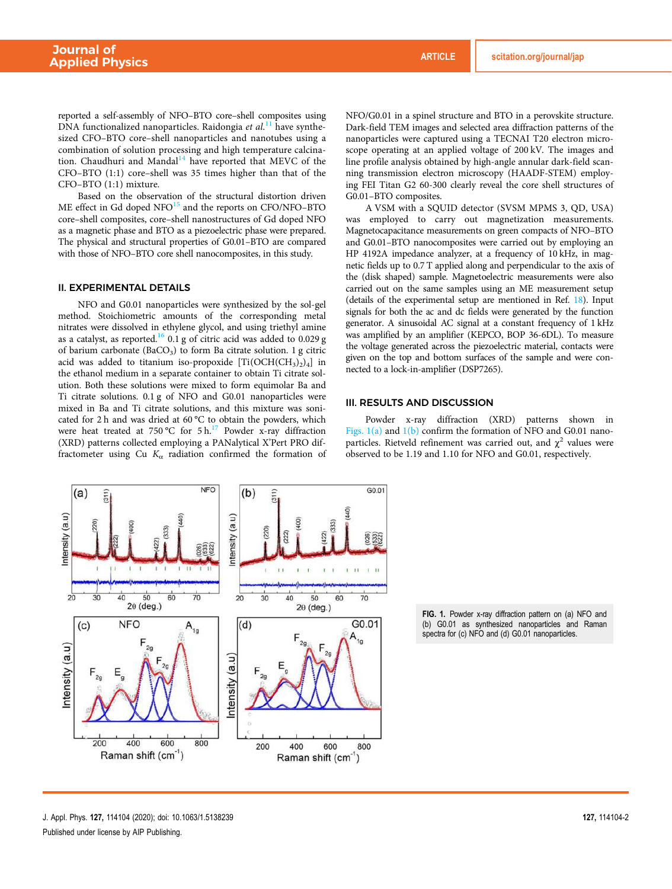reported a self-assembly of NFO–BTO core–shell composites using DNA functionalized nanoparticles. Raidongia et al.<sup>11</sup> have synthesized CFO–BTO core–shell nanoparticles and nanotubes using a combination of solution processing and high temperature calcination. Chaudhuri and Mandal<sup>14</sup> have reported that MEVC of the CFO–BTO (1:1) core–shell was 35 times higher than that of the CFO–BTO (1:1) mixture.

Based on the observation of the structural distortion driven  $ME$  effect in Gd doped  $NFO$ <sup>15</sup> and the reports on CFO/NFO–BTO core–shell composites, core–shell nanostructures of Gd doped NFO as a magnetic phase and BTO as a piezoelectric phase were prepared. The physical and structural properties of G0.01–BTO are compared with those of NFO–BTO core shell nanocomposites, in this study.

#### II. EXPERIMENTAL DETAILS

NFO and G0.01 nanoparticles were synthesized by the sol-gel method. Stoichiometric amounts of the corresponding metal nitrates were dissolved in ethylene glycol, and using triethyl amine as a catalyst, as reported.<sup>16</sup> 0.1 g of citric acid was added to 0.029 g of barium carbonate (BaCO<sub>3</sub>) to form Ba citrate solution. 1 g citric acid was added to titanium iso-propoxide  $[\rm Ti(\rm OCH(CH_3)_2)_4]$  in the ethanol medium in a separate container to obtain Ti citrate solution. Both these solutions were mixed to form equimolar Ba and Ti citrate solutions. 0.1 g of NFO and G0.01 nanoparticles were mixed in Ba and Ti citrate solutions, and this mixture was sonicated for 2 h and was dried at 60 °C to obtain the powders, which were heat treated at 750 °C for  $5 h<sup>17</sup>$  Powder x-ray diffraction (XRD) patterns collected employing a PANalytical X'Pert PRO diffractometer using Cu  $K_{\alpha}$  radiation confirmed the formation of NFO/G0.01 in a spinel structure and BTO in a perovskite structure. Dark-field TEM images and selected area diffraction patterns of the nanoparticles were captured using a TECNAI T20 electron microscope operating at an applied voltage of 200 kV. The images and line profile analysis obtained by high-angle annular dark-field scanning transmission electron microscopy (HAADF-STEM) employing FEI Titan G2 60-300 clearly reveal the core shell structures of G0.01–BTO composites.

A VSM with a SQUID detector (SVSM MPMS 3, QD, USA) was employed to carry out magnetization measurements. Magnetocapacitance measurements on green compacts of NFO–BTO and G0.01–BTO nanocomposites were carried out by employing an HP 4192A impedance analyzer, at a frequency of 10 kHz, in magnetic fields up to 0.7 T applied along and perpendicular to the axis of the (disk shaped) sample. Magnetoelectric measurements were also carried out on the same samples using an ME measurement setup (details of the experimental setup are mentioned in Ref. 18). Input signals for both the ac and dc fields were generated by the function generator. A sinusoidal AC signal at a constant frequency of 1 kHz was amplified by an amplifier (KEPCO, BOP 36-6DL). To measure the voltage generated across the piezoelectric material, contacts were given on the top and bottom surfaces of the sample and were connected to a lock-in-amplifier (DSP7265).

#### III. RESULTS AND DISCUSSION

Powder x-ray diffraction (XRD) patterns shown in Figs. 1(a) and 1(b) confirm the formation of NFO and G0.01 nanoparticles. Rietveld refinement was carried out, and  $\chi^2$  values were observed to be 1.19 and 1.10 for NFO and G0.01, respectively.



FIG. 1. Powder x-ray diffraction pattern on (a) NFO and (b) G0.01 as synthesized nanoparticles and Raman spectra for (c) NFO and (d) G0.01 nanoparticles.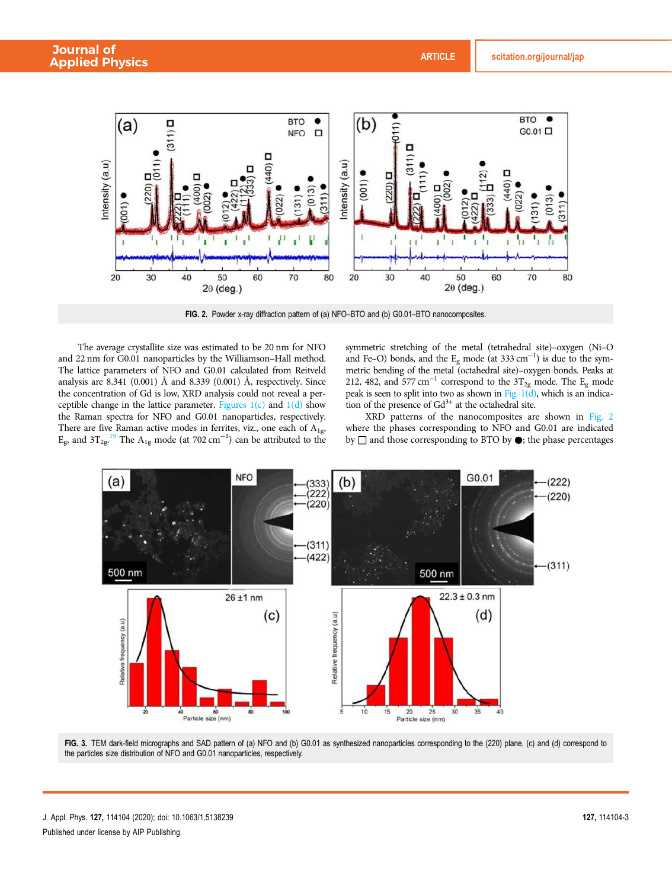

FIG. 2. Powder x-ray diffraction pattern of (a) NFO–BTO and (b) G0.01–BTO nanocomposites.

The average crystallite size was estimated to be 20 nm for NFO and 22 nm for G0.01 nanoparticles by the Williamson–Hall method. The lattice parameters of NFO and G0.01 calculated from Reitveld analysis are 8.341 (0.001) Å and 8.339 (0.001) Å, respectively. Since the concentration of Gd is low, XRD analysis could not reveal a perceptible change in the lattice parameter. Figures  $1(c)$  and  $1(d)$  show the Raman spectra for NFO and G0.01 nanoparticles, respectively. There are five Raman active modes in ferrites, viz., one each of  $A_{1g}$ , E<sub>g</sub>, and  $3T_{2g}$ .<sup>19</sup> The A<sub>1g</sub> mode (at 702 cm<sup>-1</sup>) can be attributed to the

symmetric stretching of the metal (tetrahedral site)–oxygen (Ni–O and Fe–O) bonds, and the  $E_g$  mode (at 333 cm<sup>-1</sup>) is due to the symmetric bending of the metal (octahedral site)–oxygen bonds. Peaks at 212, 482, and 577 cm<sup>-1</sup> correspond to the  $3T_{2g}$  mode. The E<sub>g</sub> mode peak is seen to split into two as shown in Fig.  $1(d)$ , which is an indication of the presence of  $Gd^{3+}$  at the octahedral site.

XRD patterns of the nanocomposites are shown in Fig. 2 where the phases corresponding to NFO and G0.01 are indicated by □ and those corresponding to BTO by ●; the phase percentages



FIG. 3. TEM dark-field micrographs and SAD pattern of (a) NFO and (b) G0.01 as synthesized nanoparticles corresponding to the (220) plane, (c) and (d) correspond to the particles size distribution of NFO and G0.01 nanoparticles, respectively.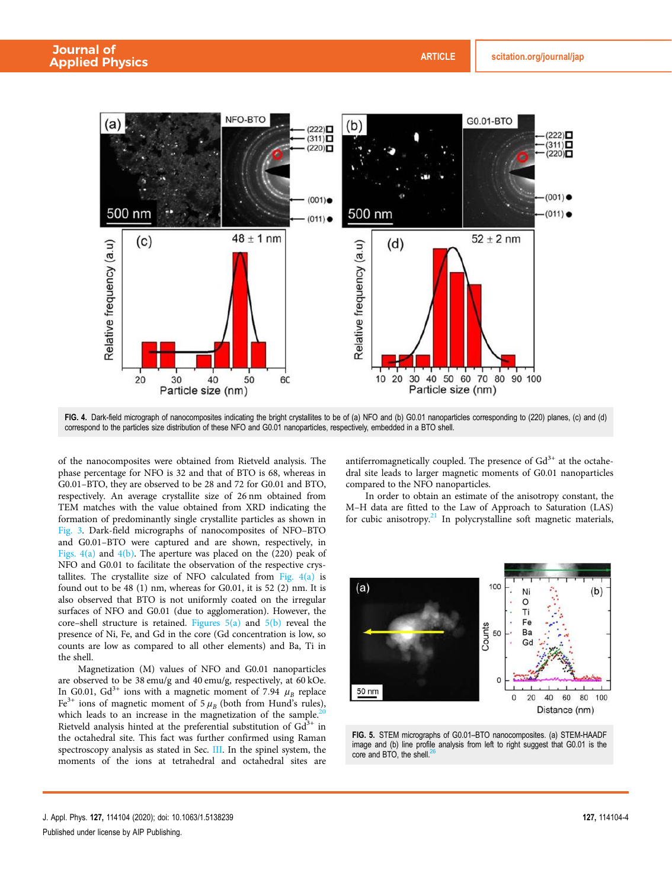

FIG. 4. Dark-field micrograph of nanocomposites indicating the bright crystallites to be of (a) NFO and (b) G0.01 nanoparticles corresponding to (220) planes, (c) and (d) correspond to the particles size distribution of these NFO and G0.01 nanoparticles, respectively, embedded in a BTO shell.

of the nanocomposites were obtained from Rietveld analysis. The phase percentage for NFO is 32 and that of BTO is 68, whereas in G0.01–BTO, they are observed to be 28 and 72 for G0.01 and BTO, respectively. An average crystallite size of 26 nm obtained from TEM matches with the value obtained from XRD indicating the formation of predominantly single crystallite particles as shown in Fig. 3. Dark-field micrographs of nanocomposites of NFO–BTO and G0.01–BTO were captured and are shown, respectively, in Figs.  $4(a)$  and  $4(b)$ . The aperture was placed on the (220) peak of NFO and G0.01 to facilitate the observation of the respective crystallites. The crystallite size of NFO calculated from Fig.  $4(a)$  is found out to be 48 (1) nm, whereas for G0.01, it is 52 (2) nm. It is also observed that BTO is not uniformly coated on the irregular surfaces of NFO and G0.01 (due to agglomeration). However, the core–shell structure is retained. Figures  $5(a)$  and  $5(b)$  reveal the presence of Ni, Fe, and Gd in the core (Gd concentration is low, so counts are low as compared to all other elements) and Ba, Ti in the shell.

Magnetization (M) values of NFO and G0.01 nanoparticles are observed to be 38 emu/g and 40 emu/g, respectively, at 60 kOe. In G0.01, Gd<sup>3+</sup> ions with a magnetic moment of 7.94  $\mu_B$  replace Fe<sup>3+</sup> ions of magnetic moment of  $5 \mu_B$  (both from Hund's rules), which leads to an increase in the magnetization of the sample.<sup>2</sup> Rietveld analysis hinted at the preferential substitution of  $Gd^{3+}$  in the octahedral site. This fact was further confirmed using Raman spectroscopy analysis as stated in Sec. III. In the spinel system, the moments of the ions at tetrahedral and octahedral sites are antiferromagnetically coupled. The presence of  $Gd^{3+}$  at the octahedral site leads to larger magnetic moments of G0.01 nanoparticles compared to the NFO nanoparticles.

In order to obtain an estimate of the anisotropy constant, the M–H data are fitted to the Law of Approach to Saturation (LAS) for cubic anisotropy. $21$  In polycrystalline soft magnetic materials,



FIG. 5. STEM micrographs of G0.01–BTO nanocomposites. (a) STEM-HAADF image and (b) line profile analysis from left to right suggest that G0.01 is the core and BTO, the shell. $<sup>2</sup>$ </sup>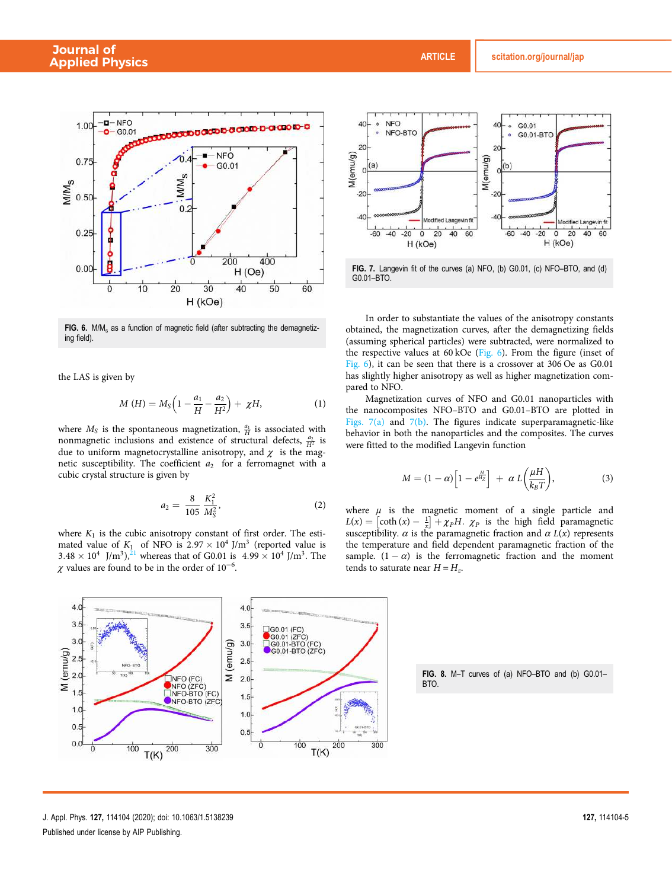

FIG. 6. M/M<sub>s</sub> as a function of magnetic field (after subtracting the demagnetizing field).

the LAS is given by

$$
M(H) = M_S \left( 1 - \frac{a_1}{H} - \frac{a_2}{H^2} \right) + \chi H, \tag{1}
$$

where  $M_S$  is the spontaneous magnetization,  $\frac{a_1}{H}$  is associated with nonmagnetic inclusions and existence of structural defects,  $\frac{a_2}{H^2}$  is due to uniform magnetocrystalline anisotropy, and  $\chi$  is the magnetic susceptibility. The coefficient  $a_2$  for a ferromagnet with a cubic crystal structure is given by

$$
a_2 = \frac{8}{105} \frac{K_1^2}{M_S^2},\tag{2}
$$

where  $K_1$  is the cubic anisotropy constant of first order. The estimated value of  $K_1$  of NFO is  $2.97 \times 10^4$  J/m<sup>3</sup> (reported value is  $3.48 \times 10^4$  J/m<sup>3</sup>),<sup>21</sup> whereas that of G0.01 is  $4.99 \times 10^4$  J/m<sup>3</sup>. The  $\chi$  values are found to be in the order of 10<sup>-6</sup>.



FIG. 7. Langevin fit of the curves (a) NFO, (b) G0.01, (c) NFO–BTO, and (d) G0.01–BTO.

In order to substantiate the values of the anisotropy constants obtained, the magnetization curves, after the demagnetizing fields (assuming spherical particles) were subtracted, were normalized to the respective values at 60 kOe (Fig. 6). From the figure (inset of Fig. 6), it can be seen that there is a crossover at 306 Oe as G0.01 has slightly higher anisotropy as well as higher magnetization compared to NFO.

Magnetization curves of NFO and G0.01 nanoparticles with the nanocomposites NFO–BTO and G0.01–BTO are plotted in Figs. 7(a) and 7(b). The figures indicate superparamagnetic-like behavior in both the nanoparticles and the composites. The curves were fitted to the modified Langevin function

$$
M = (1 - \alpha) \left[ 1 - e^{\frac{H}{H_Z}} \right] + \alpha L \left( \frac{\mu H}{k_B T} \right), \tag{3}
$$

where  $\mu$  is the magnetic moment of a single particle and  $L(x) = [\coth(x) - \frac{1}{x}] + \chi_p H$ .  $\chi_p$  is the high field paramagnetic susceptibility.  $\alpha$  is the paramagnetic fraction and  $\alpha$   $L(x)$  represents the temperature and field dependent paramagnetic fraction of the sample.  $(1 - \alpha)$  is the ferromagnetic fraction and the moment tends to saturate near  $H = H_z$ .



FIG. 8. M–T curves of (a) NFO–BTO and (b) G0.01– BTO.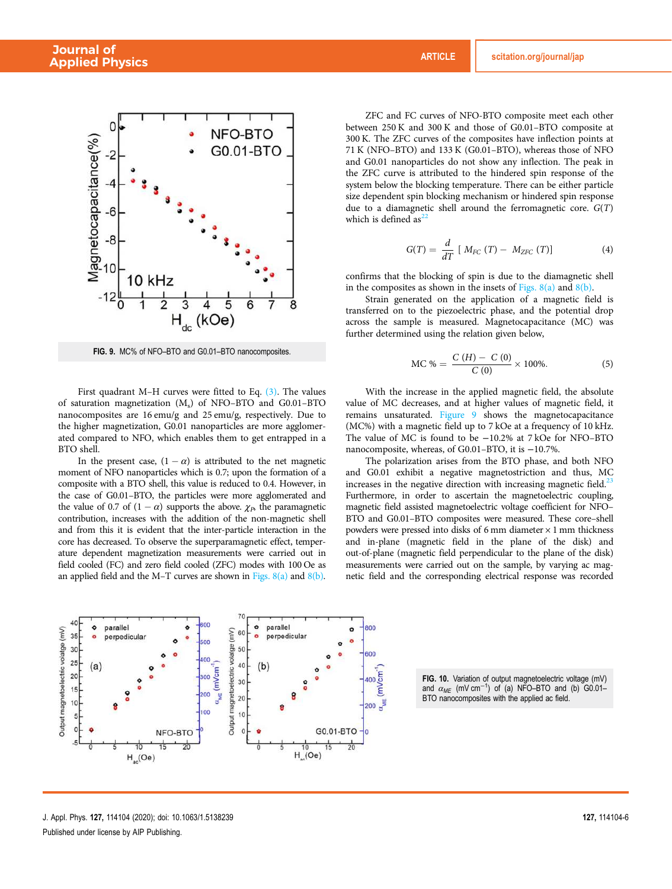

FIG. 9. MC% of NFO–BTO and G0.01–BTO nanocomposites.

First quadrant M–H curves were fitted to Eq. (3). The values of saturation magnetization (M<sup>s</sup> ) of NFO–BTO and G0.01–BTO nanocomposites are 16 emu/g and 25 emu/g, respectively. Due to the higher magnetization, G0.01 nanoparticles are more agglomerated compared to NFO, which enables them to get entrapped in a BTO shell.

In the present case,  $(1 - \alpha)$  is attributed to the net magnetic moment of NFO nanoparticles which is 0.7; upon the formation of a composite with a BTO shell, this value is reduced to 0.4. However, in the case of G0.01–BTO, the particles were more agglomerated and the value of 0.7 of  $(1 - \alpha)$  supports the above.  $\chi_P$ , the paramagnetic contribution, increases with the addition of the non-magnetic shell and from this it is evident that the inter-particle interaction in the core has decreased. To observe the superparamagnetic effect, temperature dependent magnetization measurements were carried out in field cooled (FC) and zero field cooled (ZFC) modes with 100 Oe as an applied field and the M–T curves are shown in Figs.  $8(a)$  and  $8(b)$ .

ZFC and FC curves of NFO-BTO composite meet each other between 250 K and 300 K and those of G0.01–BTO composite at 300 K. The ZFC curves of the composites have inflection points at 71 K (NFO–BTO) and 133 K (G0.01–BTO), whereas those of NFO and G0.01 nanoparticles do not show any inflection. The peak in the ZFC curve is attributed to the hindered spin response of the system below the blocking temperature. There can be either particle size dependent spin blocking mechanism or hindered spin response due to a diamagnetic shell around the ferromagnetic core.  $G(T)$ which is defined  $as^{22}$ 

$$
G(T) = \frac{d}{dT} \left[ M_{FC} \left( T \right) - M_{ZFC} \left( T \right) \right] \tag{4}
$$

confirms that the blocking of spin is due to the diamagnetic shell in the composites as shown in the insets of Figs.  $8(a)$  and  $8(b)$ .

Strain generated on the application of a magnetic field is transferred on to the piezoelectric phase, and the potential drop across the sample is measured. Magnetocapacitance (MC) was further determined using the relation given below,

MC % = 
$$
\frac{C(H) - C(0)}{C(0)} \times 100\%
$$
. (5)

With the increase in the applied magnetic field, the absolute value of MC decreases, and at higher values of magnetic field, it remains unsaturated. Figure 9 shows the magnetocapacitance (MC%) with a magnetic field up to 7 kOe at a frequency of 10 kHz. The value of MC is found to be −10.2% at 7 kOe for NFO–BTO nanocomposite, whereas, of G0.01–BTO, it is −10.7%.

The polarization arises from the BTO phase, and both NFO and G0.01 exhibit a negative magnetostriction and thus, MC increases in the negative direction with increasing magnetic field. $^{23}$ Furthermore, in order to ascertain the magnetoelectric coupling, magnetic field assisted magnetoelectric voltage coefficient for NFO– BTO and G0.01–BTO composites were measured. These core–shell powders were pressed into disks of 6 mm diameter  $\times$  1 mm thickness and in-plane (magnetic field in the plane of the disk) and out-of-plane (magnetic field perpendicular to the plane of the disk) measurements were carried out on the sample, by varying ac magnetic field and the corresponding electrical response was recorded



FIG. 10. Variation of output magnetoelectric voltage (mV) and  $\alpha_{ME}$  (mV cm<sup>-1</sup>) of (a) NFO–BTO and (b) G0.01– BTO nanocomposites with the applied ac field.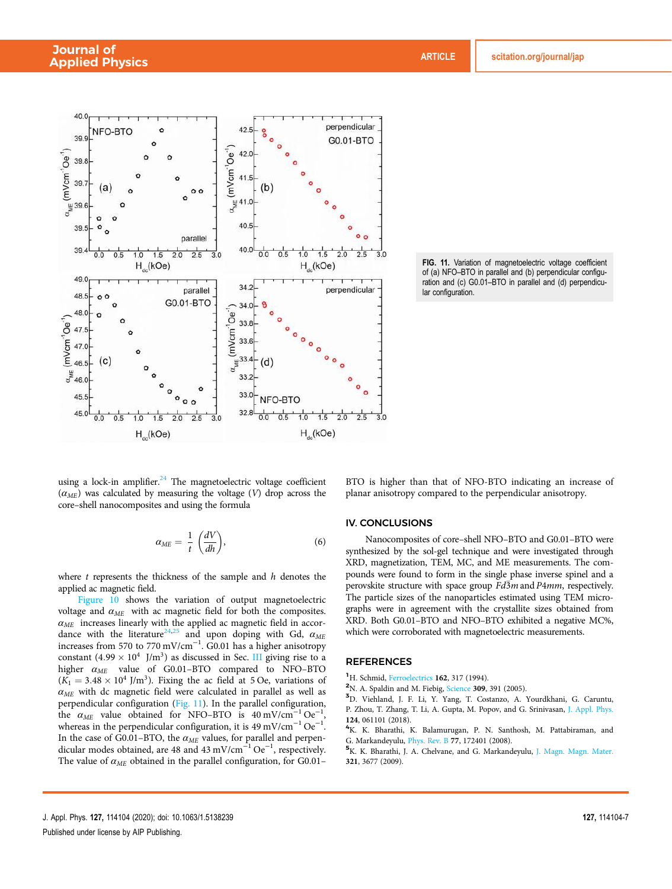

FIG. 11. Variation of magnetoelectric voltage coefficient of (a) NFO–BTO in parallel and (b) perpendicular configuration and (c) G0.01–BTO in parallel and (d) perpendicular configuration.

using a lock-in amplifier. $24$  The magnetoelectric voltage coefficient  $(\alpha_{ME})$  was calculated by measuring the voltage (V) drop across the core–shell nanocomposites and using the formula

$$
\alpha_{ME} = \frac{1}{t} \left( \frac{dV}{dh} \right),\tag{6}
$$

where  $t$  represents the thickness of the sample and  $h$  denotes the applied ac magnetic field.

Figure 10 shows the variation of output magnetoelectric voltage and  $\alpha_{ME}$  with ac magnetic field for both the composites.  $\alpha_{ME}$  increases linearly with the applied ac magnetic field in accordance with the literature<sup>24,25</sup> and upon doping with Gd,  $\alpha_{ME}$ dance with the literature<sup>24,25</sup> and upon doping with Gd,  $\alpha_{ME}$ increases from 570 to 770 mV/cm<sup>-1</sup>. G0.01 has a higher anisotropy constant  $(4.99 \times 10^4 \text{ J/m}^3)$  as discussed in Sec. III giving rise to a higher  $\alpha_{ME}$  value of G0.01-BTO compared to NFO-BTO  $(K_1 = 3.48 \times 10^4 \text{ J/m}^3)$ . Fixing the ac field at 5 Oe, variations of  $\alpha_{ME}$  with dc magnetic field were calculated in parallel as well as perpendicular configuration (Fig. 11). In the parallel configuration, the  $\alpha_{ME}$  value obtained for NFO–BTO is 40 mV/cm<sup>-1</sup> Oe<sup>-1</sup> the  $\alpha_{ME}$  value obtained for NFO-BTO is 40 mV/cm<sup>-1</sup> Oe<sup>-1</sup>, whereas in the perpendicular configuration, it is 49 mV/cm<sup>-1</sup> Oe<sup>-1</sup>. In the case of G0.01–BTO, the  $\alpha_{ME}$  values, for parallel and perpendicular modes obtained, are 48 and  $43 \text{ mV/cm}^{-1} \text{Oe}^{-1}$ , respectively. The value of  $\alpha_{ME}$  obtained in the parallel configuration, for G0.01– BTO is higher than that of NFO-BTO indicating an increase of planar anisotropy compared to the perpendicular anisotropy.

#### IV. CONCLUSIONS

Nanocomposites of core–shell NFO–BTO and G0.01–BTO were synthesized by the sol-gel technique and were investigated through XRD, magnetization, TEM, MC, and ME measurements. The compounds were found to form in the single phase inverse spinel and a perovskite structure with space group  $Fd\overline{3}m$  and  $P4mm$ , respectively. The particle sizes of the nanoparticles estimated using TEM micrographs were in agreement with the crystallite sizes obtained from XRD. Both G0.01–BTO and NFO–BTO exhibited a negative MC%, which were corroborated with magnetoelectric measurements.

#### REFERENCES

<sup>1</sup>H. Schmid, Ferroelectrics 162, 317 (1994).

<sup>2</sup>N. A. Spaldin and M. Fiebig, Science 309, 391 (2005).

<sup>3</sup>D. Viehland, J. F. Li, Y. Yang, T. Costanzo, A. Yourdkhani, G. Caruntu, P. Zhou, T. Zhang, T. Li, A. Gupta, M. Popov, and G. Srinivasan, J. Appl. Phys. 124, 061101 (2018).

<sup>4</sup>K. K. Bharathi, K. Balamurugan, P. N. Santhosh, M. Pattabiraman, and G. Markandeyulu, Phys. Rev. B 77, 172401 (2008).

<sup>5</sup>K. K. Bharathi, J. A. Chelvane, and G. Markandeyulu, J. Magn. Magn. Mater. 321, 3677 (2009).